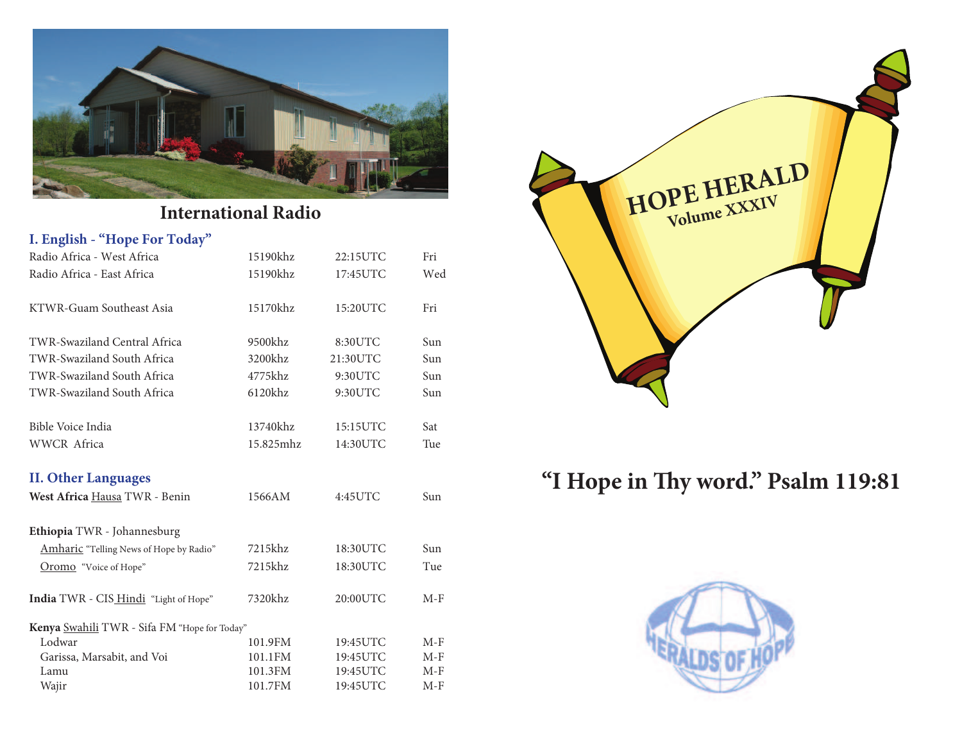

# **International Radio**

| I. English - "Hope For Today"                |           |          |       |
|----------------------------------------------|-----------|----------|-------|
| Radio Africa - West Africa                   | 15190khz  | 22:15UTC | Fri   |
| Radio Africa - East Africa                   | 15190khz  | 17:45UTC | Wed   |
| KTWR-Guam Southeast Asia                     | 15170khz  | 15:20UTC | Fri   |
| TWR-Swaziland Central Africa                 | 9500khz   | 8:30UTC  | Sun   |
| TWR-Swaziland South Africa                   | 3200khz   | 21:30UTC | Sun   |
| TWR-Swaziland South Africa                   | 4775khz   | 9:30UTC  | Sun   |
| TWR-Swaziland South Africa                   | 6120khz   | 9:30UTC  | Sun   |
| Bible Voice India                            | 13740khz  | 15:15UTC | Sat   |
| <b>WWCR</b> Africa                           | 15.825mhz | 14:30UTC | Tue   |
| <b>II. Other Languages</b>                   |           |          |       |
| West Africa Hausa TWR - Benin                | 1566AM    | 4:45UTC  | Sun   |
| Ethiopia TWR - Johannesburg                  |           |          |       |
| Amharic "Telling News of Hope by Radio"      | 7215khz   | 18:30UTC | Sun   |
| Oromo "Voice of Hope"                        | 7215khz   | 18:30UTC | Tue   |
| India TWR - CIS_Hindi "Light of Hope"        | 7320khz   | 20:00UTC | $M-F$ |
| Kenya Swahili TWR - Sifa FM "Hope for Today" |           |          |       |
| Lodwar                                       | 101.9FM   | 19:45UTC | $M-F$ |
| Garissa, Marsabit, and Voi                   | 101.1FM   | 19:45UTC | $M-F$ |
| Lamu                                         | 101.3FM   | 19:45UTC | $M-F$ |
| Wajir                                        | 101.7FM   | 19:45UTC | $M-F$ |



# "I Hope in Thy word." Psalm 119:81

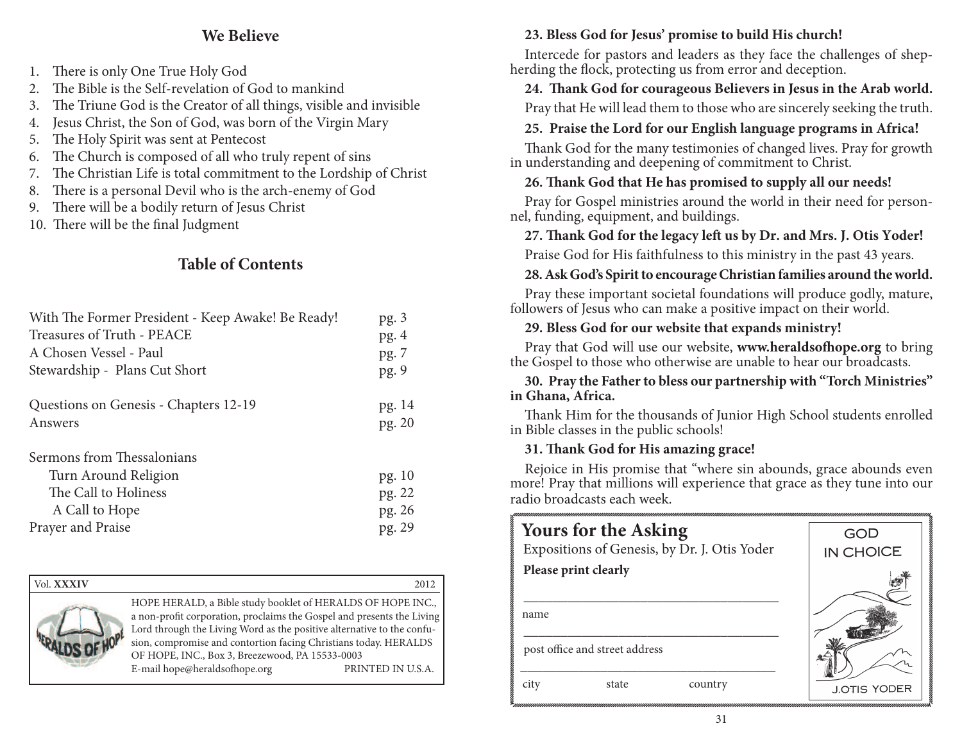# **We Believe**

- 1. There is only One True Holy God
- 2. The Bible is the Self-revelation of God to mankind
- 3. The Triune God is the Creator of all things, visible and invisible
- 4. Jesus Christ, the Son of God, was born of the Virgin Mary
- 5. The Holy Spirit was sent at Pentecost
- 6. The Church is composed of all who truly repent of sins
- 7. The Christian Life is total commitment to the Lordship of Christ
- 8. There is a personal Devil who is the arch-enemy of God
- 9. There will be a bodily return of Jesus Christ
- 10. There will be the final Judgment

# **Table of Contents**

| With The Former President - Keep Awake! Be Ready!                                                                 | pg.3                                 |
|-------------------------------------------------------------------------------------------------------------------|--------------------------------------|
| Treasures of Truth - PEACE                                                                                        | pg.4                                 |
| A Chosen Vessel - Paul                                                                                            | pg. 7                                |
| Stewardship - Plans Cut Short                                                                                     | pg. 9                                |
| Questions on Genesis - Chapters 12-19                                                                             | pg. 14                               |
| Answers                                                                                                           | pg. 20                               |
| Sermons from Thessalonians<br>Turn Around Religion<br>The Call to Holiness<br>A Call to Hope<br>Prayer and Praise | pg. 10<br>pg. 22<br>pg. 26<br>pg. 29 |

| Vol. <b>XXXIV</b> |                                                                                                                                                                                                                                                                                                                                                                         | 2012              |
|-------------------|-------------------------------------------------------------------------------------------------------------------------------------------------------------------------------------------------------------------------------------------------------------------------------------------------------------------------------------------------------------------------|-------------------|
|                   | HOPE HERALD, a Bible study booklet of HERALDS OF HOPE INC.,<br>a non-profit corporation, proclaims the Gospel and presents the Living<br>Lord through the Living Word as the positive alternative to the confu-<br>sion, compromise and contortion facing Christians today. HERALDS<br>OF HOPE, INC., Box 3, Breezewood, PA 15533-0003<br>E-mail hope@heraldsofhope.org | PRINTED IN U.S.A. |

# **23. Bless God for Jesus' promise to build His church!**

Intercede for pastors and leaders as they face the challenges of shepherding the flock, protecting us from error and deception.

### 24. Thank God for courageous Believers in Jesus in the Arab world.

Pray that He will lead them to those who are sincerely seeking the truth.

### **25. Praise the Lord for our English language programs in Africa!**

Thank God for the many testimonies of changed lives. Pray for growth in understanding and deepening of commitment to Christ.

# 26. Thank God that He has promised to supply all our needs!

Pray for Gospel ministries around the world in their need for personnel, funding, equipment, and buildings.

# 27. Thank God for the legacy left us by Dr. and Mrs. J. Otis Yoder!

Praise God for His faithfulness to this ministry in the past 43 years.

# **28. Ask God's Spirit to encourage Christian families around the world.**

Pray these important societal foundations will produce godly, mature, followers of Jesus who can make a positive impact on their world.

# **29. Bless God for our website that expands ministry!**

Pray that God will use our website, www.heraldsofhope.org to bring the Gospel to those who otherwise are unable to hear our broadcasts.

### **30. Pray the Father to bless our partnership with "Torch Ministries" in Ghana, Africa.**

Thank Him for the thousands of Junior High School students enrolled in Bible classes in the public schools!

# **31. ! ank God for His amazing grace!**

Rejoice in His promise that "where sin abounds, grace abounds even more! Pray that millions will experience that grace as they tune into our radio broadcasts each week.

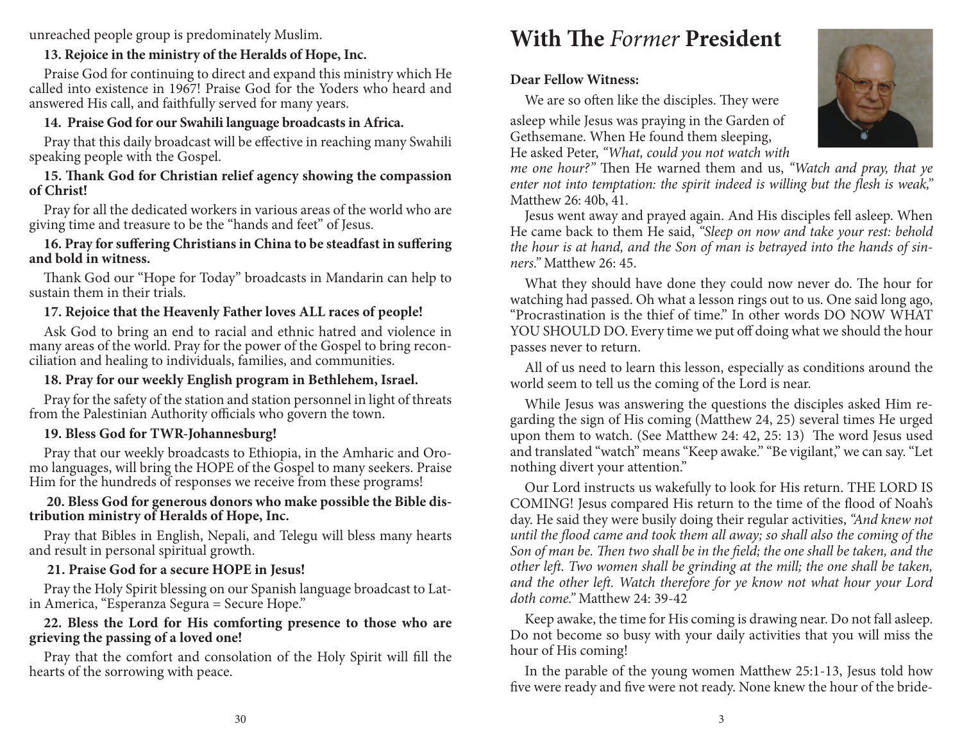unreached people group is predominately Muslim.

## **13. Rejoice in the ministry of the Heralds of Hope, Inc.**

Praise God for continuing to direct and expand this ministry which He called into existence in 1967! Praise God for the Yoders who heard and answered His call, and faithfully served for many years.

## **14. Praise God for our Swahili language broadcasts in Africa.**

Pray that this daily broadcast will be effective in reaching many Swahili speaking people with the Gospel.

#### 15. Thank God for Christian relief agency showing the compassion **of Christ!**

Pray for all the dedicated workers in various areas of the world who are giving time and treasure to be the "hands and feet" of Jesus.

#### 16. Pray for suffering Christians in China to be steadfast in suffering **and bold in witness.**

Thank God our "Hope for Today" broadcasts in Mandarin can help to sustain them in their trials.

# **17. Rejoice that the Heavenly Father loves ALL races of people!**

Ask God to bring an end to racial and ethnic hatred and violence in many areas of the world. Pray for the power of the Gospel to bring reconciliation and healing to individuals, families, and communities.

# **18. Pray for our weekly English program in Bethlehem, Israel.**

Pray for the safety of the station and station personnel in light of threats from the Palestinian Authority officials who govern the town.

# **19. Bless God for TWR-Johannesburg!**

Pray that our weekly broadcasts to Ethiopia, in the Amharic and Oromo languages, will bring the HOPE of the Gospel to many seekers. Praise Him for the hundreds of responses we receive from these programs!

#### **20. Bless God for generous donors who make possible the Bible distribution ministry of Heralds of Hope, Inc.**

Pray that Bibles in English, Nepali, and Telegu will bless many hearts and result in personal spiritual growth.

### **21. Praise God for a secure HOPE in Jesus!**

Pray the Holy Spirit blessing on our Spanish language broadcast to Latin America, "Esperanza Segura = Secure Hope."

### **22. Bless the Lord for His comforting presence to those who are grieving the passing of a loved one!**

Pray that the comfort and consolation of the Holy Spirit will fill the hearts of the sorrowing with peace.

# **With The Former President**

# **Dear Fellow Witness:**

We are so often like the disciples. They were

asleep while Jesus was praying in the Garden of Gethsemane. When He found them sleeping, He asked Peter, "What, could you not watch with

me one hour?" Then He warned them and us, "Watch and pray, that ye enter not into temptation: the spirit indeed is willing but the flesh is weak," Matthew 26: 40b, 41.

 Jesus went away and prayed again. And His disciples fell asleep. When He came back to them He said, "Sleep on now and take your rest: behold the hour is at hand, and the Son of man is betrayed into the hands of sinners." Matthew 26: 45.

What they should have done they could now never do. The hour for watching had passed. Oh what a lesson rings out to us. One said long ago, "Procrastination is the thief of time." In other words DO NOW WHAT YOU SHOULD DO. Every time we put off doing what we should the hour passes never to return.

All of us need to learn this lesson, especially as conditions around the world seem to tell us the coming of the Lord is near.

While Jesus was answering the questions the disciples asked Him regarding the sign of His coming (Matthew 24, 25) several times He urged upon them to watch. (See Matthew 24: 42, 25: 13) The word Jesus used and translated "watch" means "Keep awake." "Be vigilant," we can say. "Let nothing divert your attention.''

Our Lord instructs us wakefully to look for His return. THE LORD IS COMING! Jesus compared His return to the time of the flood of Noah's day. He said they were busily doing their regular activities, "And knew not until the flood came and took them all away; so shall also the coming of the Son of man be. Then two shall be in the field; the one shall be taken, and the other left. Two women shall be grinding at the mill; the one shall be taken, and the other left. Watch therefore for ye know not what hour your Lord doth come." Matthew 24: 39-42

Keep awake, the time for His coming is drawing near. Do not fall asleep. Do not become so busy with your daily activities that you will miss the hour of His coming!

In the parable of the young women Matthew 25:1-13, Jesus told how five were ready and five were not ready. None knew the hour of the bride-

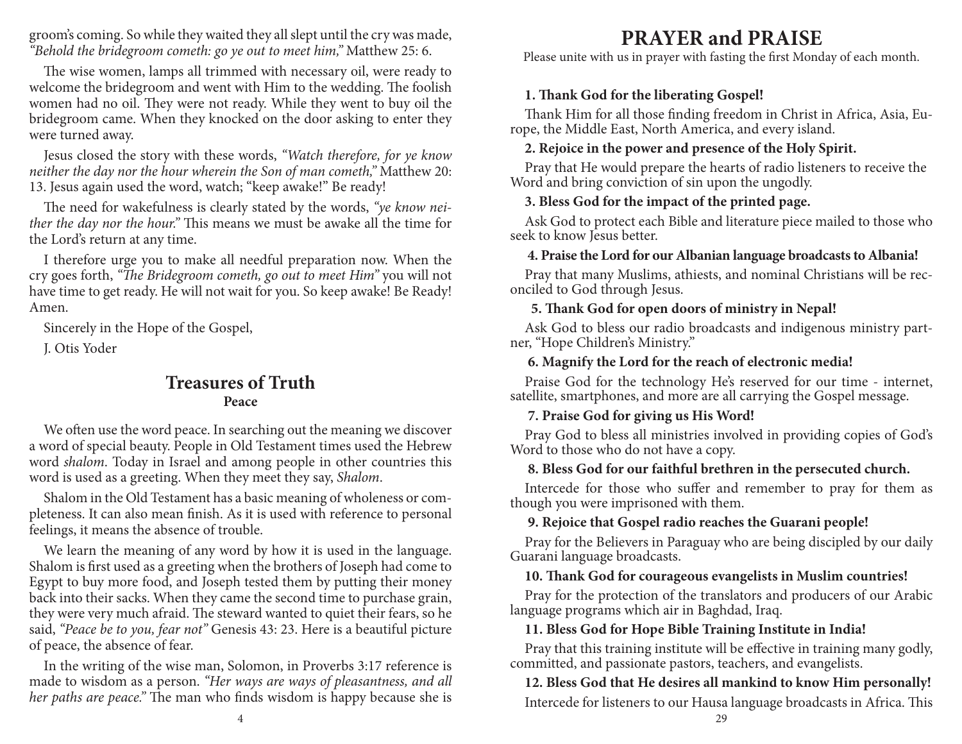groom's coming. So while they waited they all slept until the cry was made, "Behold the bridegroom cometh: go ye out to meet him," Matthew 25: 6.

The wise women, lamps all trimmed with necessary oil, were ready to welcome the bridegroom and went with Him to the wedding. The foolish women had no oil. They were not ready. While they went to buy oil the bridegroom came. When they knocked on the door asking to enter they were turned away.

Jesus closed the story with these words, "Watch therefore, for ye know neither the day nor the hour wherein the Son of man cometh," Matthew 20: 13. Jesus again used the word, watch; "keep awake!" Be ready!

The need for wakefulness is clearly stated by the words, "ye know neither the day nor the hour." This means we must be awake all the time for the Lord's return at any time.

I therefore urge you to make all needful preparation now. When the cry goes forth, "The Bridegroom cometh, go out to meet Him" you will not have time to get ready. He will not wait for you. So keep awake! Be Ready! Amen.

Sincerely in the Hope of the Gospel,

J. Otis Yoder

# **Treasures of TruthPeace**

We often use the word peace. In searching out the meaning we discover a word of special beauty. People in Old Testament times used the Hebrew word shalom. Today in Israel and among people in other countries this word is used as a greeting. When they meet they say, Shalom.

Shalom in the Old Testament has a basic meaning of wholeness or completeness. It can also mean finish. As it is used with reference to personal feelings, it means the absence of trouble.

We learn the meaning of any word by how it is used in the language. Shalom is first used as a greeting when the brothers of Joseph had come to Egypt to buy more food, and Joseph tested them by putting their money back into their sacks. When they came the second time to purchase grain, they were very much afraid. The steward wanted to quiet their fears, so he said, "Peace be to you, fear not" Genesis 43: 23. Here is a beautiful picture of peace, the absence of fear.

In the writing of the wise man, Solomon, in Proverbs 3:17 reference is made to wisdom as a person. "Her ways are ways of pleasantness, and all her paths are peace." The man who finds wisdom is happy because she is

# **PRAYER and PRAISE**

Please unite with us in prayer with fasting the first Monday of each month.

### 1. Thank God for the liberating Gospel!

Thank Him for all those finding freedom in Christ in Africa, Asia, Europe, the Middle East, North America, and every island.

#### **2. Rejoice in the power and presence of the Holy Spirit.**

Pray that He would prepare the hearts of radio listeners to receive the Word and bring conviction of sin upon the ungodly.

#### **3. Bless God for the impact of the printed page.**

Ask God to protect each Bible and literature piece mailed to those who seek to know Jesus better.

#### **4. Praise the Lord for our Albanian language broadcasts to Albania!**

Pray that many Muslims, athiests, and nominal Christians will be reconciled to God through Jesus.

#### **5. ! ank God for open doors of ministry in Nepal!**

Ask God to bless our radio broadcasts and indigenous ministry partner, "Hope Children's Ministry."

#### **6. Magnify the Lord for the reach of electronic media!**

Praise God for the technology He's reserved for our time - internet, satellite, smartphones, and more are all carrying the Gospel message.

#### **7. Praise God for giving us His Word!**

Pray God to bless all ministries involved in providing copies of God's Word to those who do not have a copy.

#### **8. Bless God for our faithful brethren in the persecuted church.**

Intercede for those who suffer and remember to pray for them as though you were imprisoned with them.

#### **9. Rejoice that Gospel radio reaches the Guarani people!**

Pray for the Believers in Paraguay who are being discipled by our daily Guarani language broadcasts.

#### 10. Thank God for courageous evangelists in Muslim countries!

Pray for the protection of the translators and producers of our Arabic language programs which air in Baghdad, Iraq.

#### **11. Bless God for Hope Bible Training Institute in India!**

Pray that this training institute will be effective in training many godly, committed, and passionate pastors, teachers, and evangelists.

## **12. Bless God that He desires all mankind to know Him personally!**  Intercede for listeners to our Hausa language broadcasts in Africa. This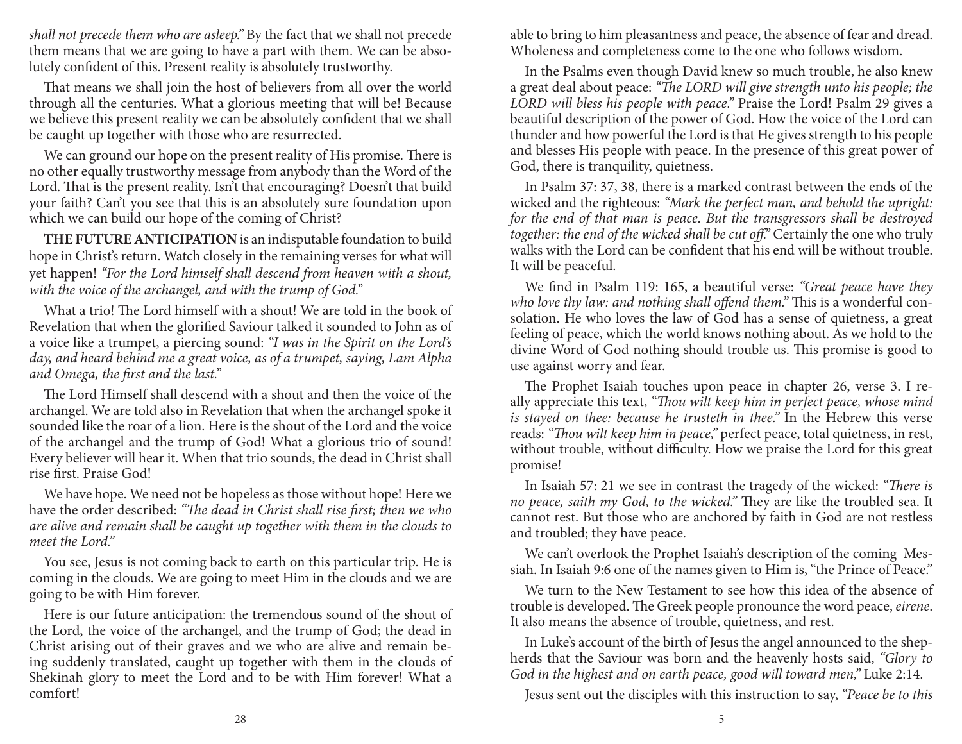shall not precede them who are asleep." By the fact that we shall not precede them means that we are going to have a part with them. We can be absolutely confident of this. Present reality is absolutely trustworthy.

That means we shall join the host of believers from all over the world through all the centuries. What a glorious meeting that will be! Because we believe this present reality we can be absolutely confident that we shall be caught up together with those who are resurrected.

We can ground our hope on the present reality of His promise. There is no other equally trustworthy message from anybody than the Word of the Lord. That is the present reality. Isn't that encouraging? Doesn't that build your faith? Can't you see that this is an absolutely sure foundation upon which we can build our hope of the coming of Christ?

**THE FUTURE ANTICIPATION** is an indisputable foundation to build hope in Christ's return. Watch closely in the remaining verses for what will yet happen! "For the Lord himself shall descend from heaven with a shout, with the voice of the archangel, and with the trump of God."

What a trio! The Lord himself with a shout! We are told in the book of Revelation that when the glorified Saviour talked it sounded to John as of a voice like a trumpet, a piercing sound: "I was in the Spirit on the Lord's day, and heard behind me a great voice, as of a trumpet, saying, Lam Alpha and Omega, the first and the last."

The Lord Himself shall descend with a shout and then the voice of the archangel. We are told also in Revelation that when the archangel spoke it sounded like the roar of a lion. Here is the shout of the Lord and the voice of the archangel and the trump of God! What a glorious trio of sound! Every believer will hear it. When that trio sounds, the dead in Christ shall rise first. Praise God!

We have hope. We need not be hopeless as those without hope! Here we have the order described: "The dead in Christ shall rise first; then we who are alive and remain shall be caught up together with them in the clouds to meet the Lord."

You see, Jesus is not coming back to earth on this particular trip. He is coming in the clouds. We are going to meet Him in the clouds and we are going to be with Him forever.

Here is our future anticipation: the tremendous sound of the shout of the Lord, the voice of the archangel, and the trump of God; the dead in Christ arising out of their graves and we who are alive and remain being suddenly translated, caught up together with them in the clouds of Shekinah glory to meet the Lord and to be with Him forever! What a comfort!

able to bring to him pleasantness and peace, the absence of fear and dread. Wholeness and completeness come to the one who follows wisdom.

In the Psalms even though David knew so much trouble, he also knew a great deal about peace: "The LORD will give strength unto his people; the LORD will bless his people with peace." Praise the Lord! Psalm 29 gives a beautiful description of the power of God. How the voice of the Lord can thunder and how powerful the Lord is that He gives strength to his people and blesses His people with peace. In the presence of this great power of God, there is tranquility, quietness.

In Psalm 37: 37, 38, there is a marked contrast between the ends of the wicked and the righteous: "Mark the perfect man, and behold the upright: for the end of that man is peace. But the transgressors shall be destroyed together: the end of the wicked shall be cut off." Certainly the one who truly walks with the Lord can be confident that his end will be without trouble. It will be peaceful.

We find in Psalm 119: 165, a beautiful verse: "Great peace have they who love thy law: and nothing shall offend them." This is a wonderful consolation. He who loves the law of God has a sense of quietness, a great feeling of peace, which the world knows nothing about. As we hold to the divine Word of God nothing should trouble us. This promise is good to use against worry and fear.

The Prophet Isaiah touches upon peace in chapter 26, verse 3. I really appreciate this text, "Thou wilt keep him in perfect peace, whose mind is stayed on thee: because he trusteth in thee." In the Hebrew this verse reads: "Thou wilt keep him in peace," perfect peace, total quietness, in rest, without trouble, without difficulty. How we praise the Lord for this great promise!

In Isaiah 57: 21 we see in contrast the tragedy of the wicked: "There is no peace, saith my God, to the wicked." They are like the troubled sea. It cannot rest. But those who are anchored by faith in God are not restless and troubled; they have peace.

We can't overlook the Prophet Isaiah's description of the coming Messiah. In Isaiah 9:6 one of the names given to Him is, "the Prince of Peace."

We turn to the New Testament to see how this idea of the absence of trouble is developed. The Greek people pronounce the word peace, eirene. It also means the absence of trouble, quietness, and rest.

In Luke's account of the birth of Jesus the angel announced to the shepherds that the Saviour was born and the heavenly hosts said, "Glory to God in the highest and on earth peace, good will toward men," Luke 2:14.

Jesus sent out the disciples with this instruction to say, "Peace be to this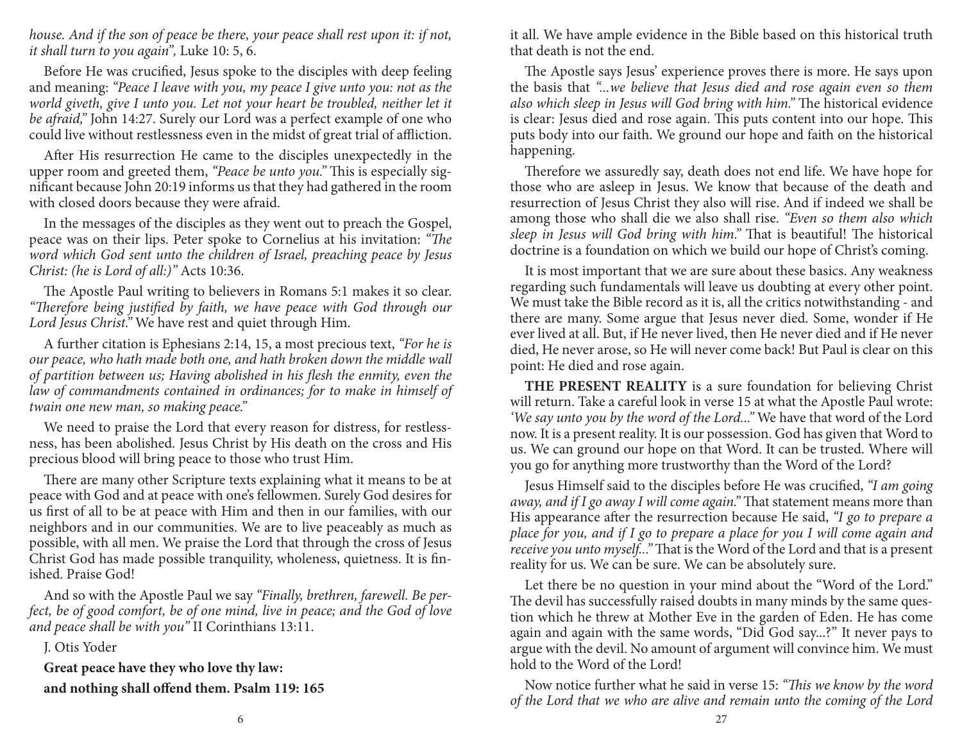house. And if the son of peace be there, your peace shall rest upon it: if not, it shall turn to you again", Luke 10: 5, 6.

Before He was crucified, Jesus spoke to the disciples with deep feeling and meaning: "Peace I leave with you, my peace I give unto you: not as the world giveth, give I unto you. Let not your heart be troubled, neither let it be afraid," John 14:27. Surely our Lord was a perfect example of one who could live without restlessness even in the midst of great trial of affliction.

After His resurrection He came to the disciples unexpectedly in the upper room and greeted them, "Peace be unto you." This is especially significant because John 20:19 informs us that they had gathered in the room with closed doors because they were afraid.

In the messages of the disciples as they went out to preach the Gospel, peace was on their lips. Peter spoke to Cornelius at his invitation: "The word which God sent unto the children of Israel, preaching peace by Jesus Christ: (he is Lord of all:)" Acts 10:36.

The Apostle Paul writing to believers in Romans 5:1 makes it so clear. "Therefore being justified by faith, we have peace with God through our Lord Jesus Christ." We have rest and quiet through Him.

A further citation is Ephesians 2:14, 15, a most precious text, "For he is our peace, who hath made both one, and hath broken down the middle wall of partition between us; Having abolished in his flesh the enmity, even the law of commandments contained in ordinances; for to make in himself of twain one new man, so making peace."

We need to praise the Lord that every reason for distress, for restlessness, has been abolished. Jesus Christ by His death on the cross and His precious blood will bring peace to those who trust Him.

There are many other Scripture texts explaining what it means to be at peace with God and at peace with one's fellowmen. Surely God desires for us first of all to be at peace with Him and then in our families, with our neighbors and in our communities. We are to live peaceably as much as possible, with all men. We praise the Lord that through the cross of Jesus Christ God has made possible tranquility, wholeness, quietness. It is finished. Praise God!

And so with the Apostle Paul we say "Finally, brethren, farewell. Be perfect, be of good comfort, be of one mind, live in peace; and the God of love and peace shall be with you" II Corinthians 13:11.

J. Otis Yoder

**Great peace have they who love thy law:**and nothing shall offend them. Psalm 119: 165 it all. We have ample evidence in the Bible based on this historical truth that death is not the end.

The Apostle says Jesus' experience proves there is more. He says upon the basis that "...we believe that Jesus died and rose again even so them also which sleep in Jesus will God bring with him." The historical evidence is clear: Jesus died and rose again. This puts content into our hope. This puts body into our faith. We ground our hope and faith on the historical happening.

Therefore we assuredly say, death does not end life. We have hope for those who are asleep in Jesus. We know that because of the death and resurrection of Jesus Christ they also will rise. And if indeed we shall be among those who shall die we also shall rise. "Even so them also which sleep in Jesus will God bring with him." That is beautiful! The historical doctrine is a foundation on which we build our hope of Christ's coming.

It is most important that we are sure about these basics. Any weakness regarding such fundamentals will leave us doubting at every other point. We must take the Bible record as it is, all the critics notwithstanding - and there are many. Some argue that Jesus never died. Some, wonder if He ever lived at all. But, if He never lived, then He never died and if He never died, He never arose, so He will never come back! But Paul is clear on this point: He died and rose again.

**THE PRESENT REALITY** is a sure foundation for believing Christ will return. Take a careful look in verse 15 at what the Apostle Paul wrote: 'We say unto you by the word of the Lord..." We have that word of the Lord now. It is a present reality. It is our possession. God has given that Word to us. We can ground our hope on that Word. It can be trusted. Where will you go for anything more trustworthy than the Word of the Lord?

Jesus Himself said to the disciples before He was crucified, "I am going away, and if I go away I will come again." That statement means more than His appearance after the resurrection because He said, "I go to prepare a place for you, and if I go to prepare a place for you I will come again and receive you unto myself..." That is the Word of the Lord and that is a present reality for us. We can be sure. We can be absolutely sure.

Let there be no question in your mind about the "Word of the Lord." The devil has successfully raised doubts in many minds by the same question which he threw at Mother Eve in the garden of Eden. He has come again and again with the same words, "Did God say...?" It never pays to argue with the devil. No amount of argument will convince him. We must hold to the Word of the Lord!

Now notice further what he said in verse 15: "This we know by the word of the Lord that we who are alive and remain unto the coming of the Lord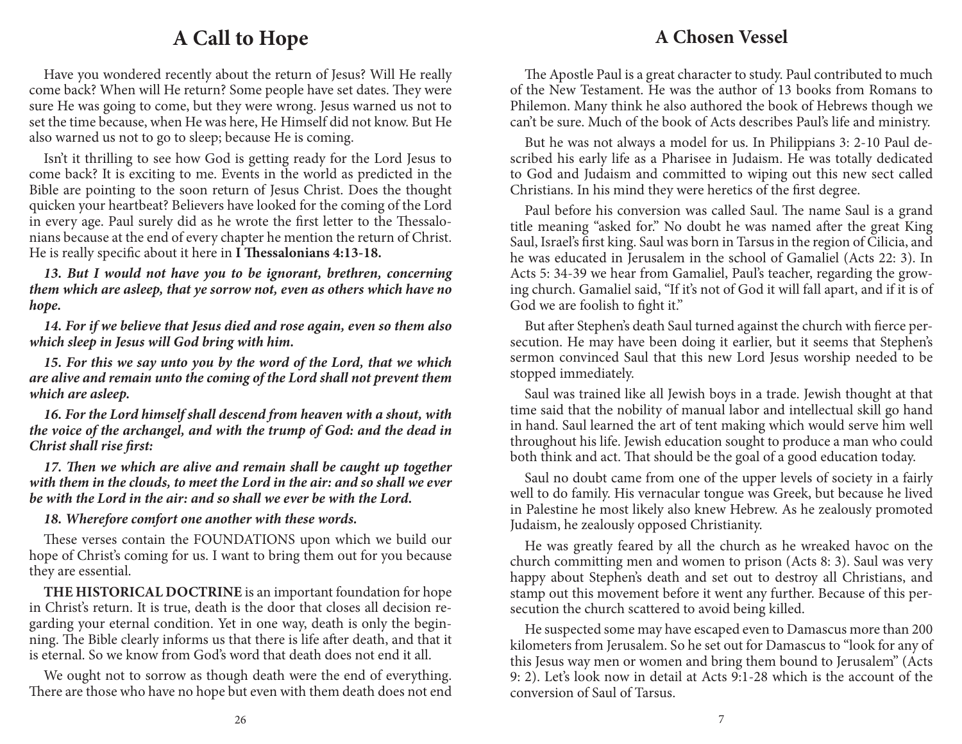# **A Call to Hope**

Have you wondered recently about the return of Jesus? Will He really come back? When will He return? Some people have set dates. They were sure He was going to come, but they were wrong. Jesus warned us not to set the time because, when He was here, He Himself did not know. But He also warned us not to go to sleep; because He is coming.

Isn't it thrilling to see how God is getting ready for the Lord Jesus to come back? It is exciting to me. Events in the world as predicted in the Bible are pointing to the soon return of Jesus Christ. Does the thought quicken your heartbeat? Believers have looked for the coming of the Lord in every age. Paul surely did as he wrote the first letter to the Thessalonians because at the end of every chapter he mention the return of Christ. He is really specific about it here in **I Thessalonians 4:13-18.** 

**13. But I would not have you to be ignorant, brethren, concerning them which are asleep, that ye sorrow not, even as others which have no hope.**

**14. For if we believe that Jesus died and rose again, even so them also which sleep in Jesus will God bring with him.**

**15. For this we say unto you by the word of the Lord, that we which are alive and remain unto the coming of the Lord shall not prevent them which are asleep.**

**16. For the Lord himself shall descend from heaven with a shout, with the voice of the archangel, and with the trump of God: and the dead in Christ shall rise first:** 

17. Then we which are alive and remain shall be caught up together **with them in the clouds, to meet the Lord in the air: and so shall we ever be with the Lord in the air: and so shall we ever be with the Lord.**

#### **18. Wherefore comfort one another with these words.**

These verses contain the FOUNDATIONS upon which we build our hope of Christ's coming for us. I want to bring them out for you because they are essential.

**THE HISTORICAL DOCTRINE** is an important foundation for hope in Christ's return. It is true, death is the door that closes all decision regarding your eternal condition. Yet in one way, death is only the beginning. The Bible clearly informs us that there is life after death, and that it is eternal. So we know from God's word that death does not end it all.

We ought not to sorrow as though death were the end of everything. There are those who have no hope but even with them death does not end

# **A Chosen Vessel**

The Apostle Paul is a great character to study. Paul contributed to much of the New Testament. He was the author of 13 books from Romans to Philemon. Many think he also authored the book of Hebrews though we can't be sure. Much of the book of Acts describes Paul's life and ministry.

But he was not always a model for us. In Philippians 3: 2-10 Paul described his early life as a Pharisee in Judaism. He was totally dedicated to God and Judaism and committed to wiping out this new sect called Christians. In his mind they were heretics of the first degree.

Paul before his conversion was called Saul. The name Saul is a grand title meaning "asked for." No doubt he was named after the great King Saul, Israel's first king. Saul was born in Tarsus in the region of Cilicia, and he was educated in Jerusalem in the school of Gamaliel (Acts 22: 3). In Acts 5: 34-39 we hear from Gamaliel, Paul's teacher, regarding the growing church. Gamaliel said, "If it's not of God it will fall apart, and if it is of God we are foolish to fight it."

But after Stephen's death Saul turned against the church with fierce persecution. He may have been doing it earlier, but it seems that Stephen's sermon convinced Saul that this new Lord Jesus worship needed to be stopped immediately.

Saul was trained like all Jewish boys in a trade. Jewish thought at that time said that the nobility of manual labor and intellectual skill go hand in hand. Saul learned the art of tent making which would serve him well throughout his life. Jewish education sought to produce a man who could both think and act. That should be the goal of a good education today.

Saul no doubt came from one of the upper levels of society in a fairly well to do family. His vernacular tongue was Greek, but because he lived in Palestine he most likely also knew Hebrew. As he zealously promoted Judaism, he zealously opposed Christianity.

He was greatly feared by all the church as he wreaked havoc on the church committing men and women to prison (Acts 8: 3). Saul was very happy about Stephen's death and set out to destroy all Christians, and stamp out this movement before it went any further. Because of this persecution the church scattered to avoid being killed.

He suspected some may have escaped even to Damascus more than 200 kilometers from Jerusalem. So he set out for Damascus to "look for any of this Jesus way men or women and bring them bound to Jerusalem" (Acts 9: 2). Let's look now in detail at Acts 9:1-28 which is the account of the conversion of Saul of Tarsus.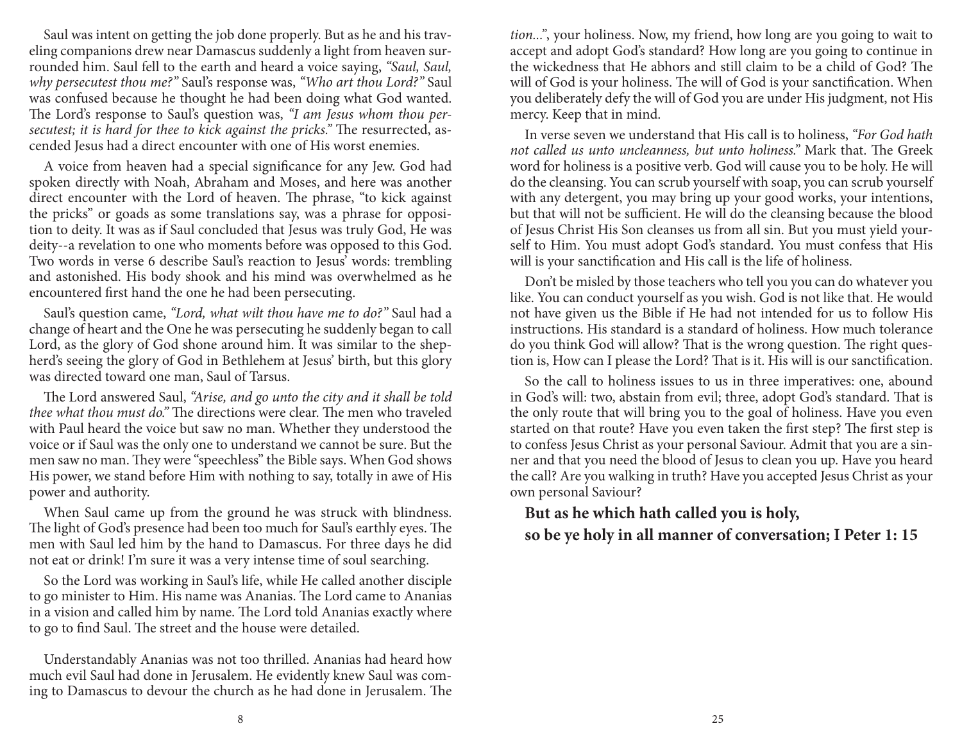Saul was intent on getting the job done properly. But as he and his traveling companions drew near Damascus suddenly a light from heaven surrounded him. Saul fell to the earth and heard a voice saying, "Saul, Saul, why persecutest thou me?" Saul's response was, "Who art thou Lord?" Saul was confused because he thought he had been doing what God wanted. The Lord's response to Saul's question was, "I am Jesus whom thou persecutest; it is hard for thee to kick against the pricks." The resurrected, ascended Jesus had a direct encounter with one of His worst enemies.

A voice from heaven had a special significance for any Jew. God had spoken directly with Noah, Abraham and Moses, and here was another direct encounter with the Lord of heaven. The phrase, "to kick against the pricks" or goads as some translations say, was a phrase for opposition to deity. It was as if Saul concluded that Jesus was truly God, He was deity--a revelation to one who moments before was opposed to this God. Two words in verse 6 describe Saul's reaction to Jesus' words: trembling and astonished. His body shook and his mind was overwhelmed as he encountered first hand the one he had been persecuting.

Saul's question came, "Lord, what wilt thou have me to do?" Saul had a change of heart and the One he was persecuting he suddenly began to call Lord, as the glory of God shone around him. It was similar to the shepherd's seeing the glory of God in Bethlehem at Jesus' birth, but this glory was directed toward one man, Saul of Tarsus.

The Lord answered Saul, "Arise, and go unto the city and it shall be told thee what thou must do." The directions were clear. The men who traveled with Paul heard the voice but saw no man. Whether they understood the voice or if Saul was the only one to understand we cannot be sure. But the men saw no man. They were "speechless" the Bible says. When God shows His power, we stand before Him with nothing to say, totally in awe of His power and authority.

When Saul came up from the ground he was struck with blindness. The light of God's presence had been too much for Saul's earthly eyes. The men with Saul led him by the hand to Damascus. For three days he did not eat or drink! I'm sure it was a very intense time of soul searching.

So the Lord was working in Saul's life, while He called another disciple to go minister to Him. His name was Ananias. The Lord came to Ananias in a vision and called him by name. The Lord told Ananias exactly where to go to find Saul. The street and the house were detailed.

Understandably Ananias was not too thrilled. Ananias had heard how much evil Saul had done in Jerusalem. He evidently knew Saul was coming to Damascus to devour the church as he had done in Jerusalem. The tion...", your holiness. Now, my friend, how long are you going to wait to accept and adopt God's standard? How long are you going to continue in the wickedness that He abhors and still claim to be a child of God? The will of God is your holiness. The will of God is your sanctification. When you deliberately defy the will of God you are under His judgment, not His mercy. Keep that in mind.

In verse seven we understand that His call is to holiness, "For God hath not called us unto uncleanness, but unto holiness." Mark that. The Greek word for holiness is a positive verb. God will cause you to be holy. He will do the cleansing. You can scrub yourself with soap, you can scrub yourself with any detergent, you may bring up your good works, your intentions, but that will not be sufficient. He will do the cleansing because the blood of Jesus Christ His Son cleanses us from all sin. But you must yield yourself to Him. You must adopt God's standard. You must confess that His will is your sanctification and His call is the life of holiness.

Don't be misled by those teachers who tell you you can do whatever you like. You can conduct yourself as you wish. God is not like that. He would not have given us the Bible if He had not intended for us to follow His instructions. His standard is a standard of holiness. How much tolerance do you think God will allow? That is the wrong question. The right question is, How can I please the Lord? That is it. His will is our sanctification.

So the call to holiness issues to us in three imperatives: one, abound in God's will: two, abstain from evil; three, adopt God's standard. That is the only route that will bring you to the goal of holiness. Have you even started on that route? Have you even taken the first step? The first step is to confess Jesus Christ as your personal Saviour. Admit that you are a sinner and that you need the blood of Jesus to clean you up. Have you heard the call? Are you walking in truth? Have you accepted Jesus Christ as your own personal Saviour?

**But as he which hath called you is holy,so be ye holy in all manner of conversation; I Peter 1: 15**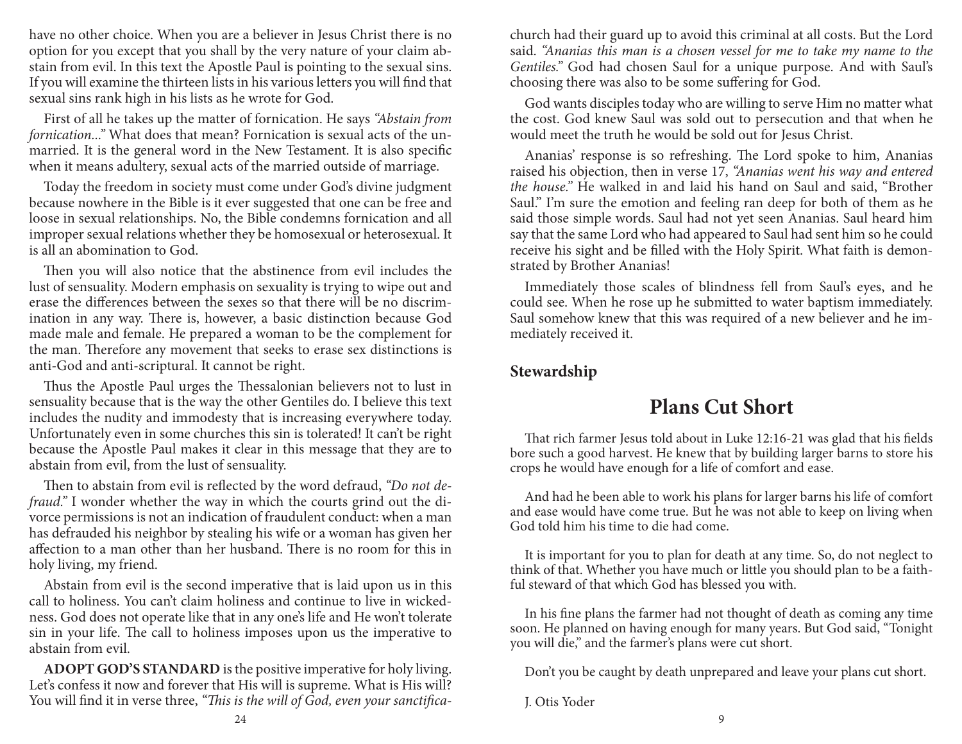have no other choice. When you are a believer in Jesus Christ there is no option for you except that you shall by the very nature of your claim abstain from evil. In this text the Apostle Paul is pointing to the sexual sins. If you will examine the thirteen lists in his various letters you will find that sexual sins rank high in his lists as he wrote for God.

First of all he takes up the matter of fornication. He says "Abstain from fornication..." What does that mean? Fornication is sexual acts of the unmarried. It is the general word in the New Testament. It is also specific when it means adultery, sexual acts of the married outside of marriage.

Today the freedom in society must come under God's divine judgment because nowhere in the Bible is it ever suggested that one can be free and loose in sexual relationships. No, the Bible condemns fornication and all improper sexual relations whether they be homosexual or heterosexual. It is all an abomination to God.

Then you will also notice that the abstinence from evil includes the lust of sensuality. Modern emphasis on sexuality is trying to wipe out and erase the differences between the sexes so that there will be no discrimination in any way. There is, however, a basic distinction because God made male and female. He prepared a woman to be the complement for the man. Therefore any movement that seeks to erase sex distinctions is anti-God and anti-scriptural. It cannot be right.

Thus the Apostle Paul urges the Thessalonian believers not to lust in sensuality because that is the way the other Gentiles do. I believe this text includes the nudity and immodesty that is increasing everywhere today. Unfortunately even in some churches this sin is tolerated! It can't be right because the Apostle Paul makes it clear in this message that they are to abstain from evil, from the lust of sensuality.

Then to abstain from evil is reflected by the word defraud, "Do not defraud." I wonder whether the way in which the courts grind out the divorce permissions is not an indication of fraudulent conduct: when a man has defrauded his neighbor by stealing his wife or a woman has given her affection to a man other than her husband. There is no room for this in holy living, my friend.

Abstain from evil is the second imperative that is laid upon us in this call to holiness. You can't claim holiness and continue to live in wickedness. God does not operate like that in any one's life and He won't tolerate sin in your life. The call to holiness imposes upon us the imperative to abstain from evil.

**ADOPT GOD'S STANDARD** is the positive imperative for holy living. Let's confess it now and forever that His will is supreme. What is His will? You will find it in verse three, "This is the will of God, even your sanctificachurch had their guard up to avoid this criminal at all costs. But the Lord said. "Ananias this man is a chosen vessel for me to take my name to the Gentiles." God had chosen Saul for a unique purpose. And with Saul's choosing there was also to be some suffering for God.

God wants disciples today who are willing to serve Him no matter what the cost. God knew Saul was sold out to persecution and that when he would meet the truth he would be sold out for Jesus Christ.

Ananias' response is so refreshing. The Lord spoke to him, Ananias raised his objection, then in verse 17, "Ananias went his way and entered the house." He walked in and laid his hand on Saul and said, "Brother Saul." I'm sure the emotion and feeling ran deep for both of them as he said those simple words. Saul had not yet seen Ananias. Saul heard him say that the same Lord who had appeared to Saul had sent him so he could receive his sight and be filled with the Holy Spirit. What faith is demonstrated by Brother Ananias!

Immediately those scales of blindness fell from Saul's eyes, and he could see. When he rose up he submitted to water baptism immediately. Saul somehow knew that this was required of a new believer and he immediately received it.

### **Stewardship**

# **Plans Cut Short**

That rich farmer Jesus told about in Luke 12:16-21 was glad that his fields bore such a good harvest. He knew that by building larger barns to store his crops he would have enough for a life of comfort and ease.

And had he been able to work his plans for larger barns his life of comfort and ease would have come true. But he was not able to keep on living when God told him his time to die had come.

It is important for you to plan for death at any time. So, do not neglect to think of that. Whether you have much or little you should plan to be a faithful steward of that which God has blessed you with.

In his fine plans the farmer had not thought of death as coming any time soon. He planned on having enough for many years. But God said, "Tonight you will die," and the farmer's plans were cut short.

Don't you be caught by death unprepared and leave your plans cut short.

J. Otis Yoder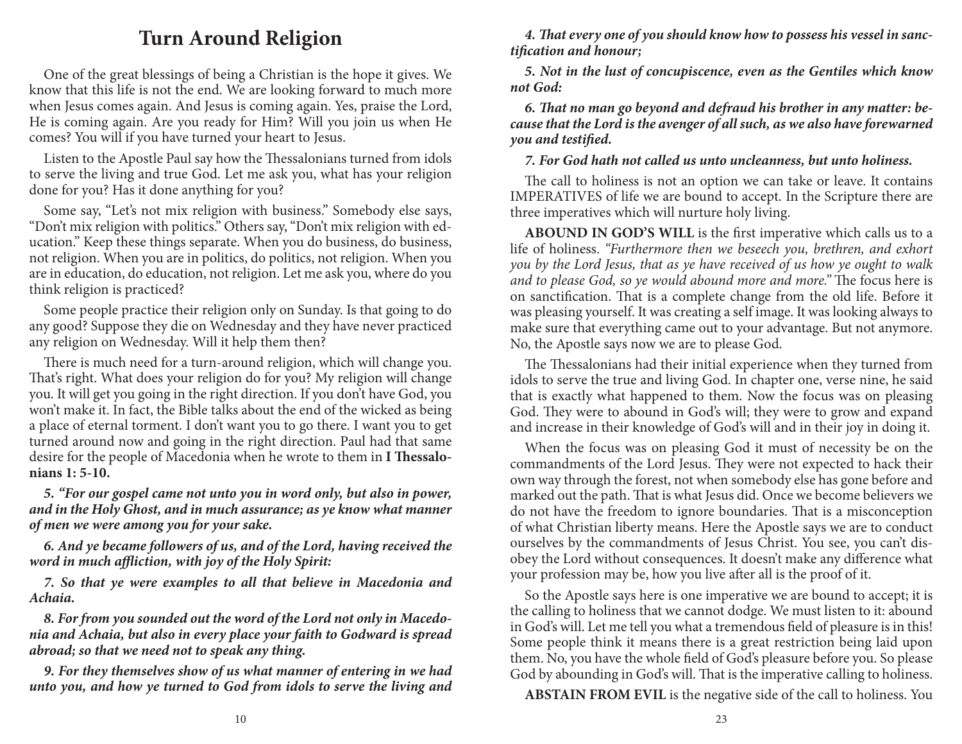# **Turn Around Religion**

One of the great blessings of being a Christian is the hope it gives. We know that this life is not the end. We are looking forward to much more when Jesus comes again. And Jesus is coming again. Yes, praise the Lord, He is coming again. Are you ready for Him? Will you join us when He comes? You will if you have turned your heart to Jesus.

Listen to the Apostle Paul say how the Thessalonians turned from idols to serve the living and true God. Let me ask you, what has your religion done for you? Has it done anything for you?

Some say, "Let's not mix religion with business." Somebody else says, "Don't mix religion with politics." Others say, "Don't mix religion with education." Keep these things separate. When you do business, do business, not religion. When you are in politics, do politics, not religion. When you are in education, do education, not religion. Let me ask you, where do you think religion is practiced?

Some people practice their religion only on Sunday. Is that going to do any good? Suppose they die on Wednesday and they have never practiced any religion on Wednesday. Will it help them then?

There is much need for a turn-around religion, which will change you. That's right. What does your religion do for you? My religion will change you. It will get you going in the right direction. If you don't have God, you won't make it. In fact, the Bible talks about the end of the wicked as being a place of eternal torment. I don't want you to go there. I want you to get turned around now and going in the right direction. Paul had that same desire for the people of Macedonia when he wrote to them in I Thessalo**nians 1: 5-10.**

**5. "For our gospel came not unto you in word only, but also in power, and in the Holy Ghost, and in much assurance; as ye know what manner of men we were among you for your sake.**

**6. And ye became followers of us, and of the Lord, having received the**  word in much affliction, with joy of the Holy Spirit:

**7. So that ye were examples to all that believe in Macedonia and Achaia.**

**8. For from you sounded out the word of the Lord not only in Macedonia and Achaia, but also in every place your faith to Godward is spread abroad; so that we need not to speak any thing.**

**9. For they themselves show of us what manner of entering in we had unto you, and how ye turned to God from idols to serve the living and** 

4. That every one of you should know how to possess his vessel in sanc**tification and honour;** 

**5. Not in the lust of concupiscence, even as the Gentiles which know not God:**

**6. " at no man go beyond and defraud his brother in any matter: because that the Lord is the avenger of all such, as we also have forewarned**  *you and testified.* 

**7. For God hath not called us unto uncleanness, but unto holiness.**

The call to holiness is not an option we can take or leave. It contains IMPERATIVES of life we are bound to accept. In the Scripture there are three imperatives which will nurture holy living.

**ABOUND IN GOD'S WILL** is the first imperative which calls us to a life of holiness. "Furthermore then we beseech you, brethren, and exhort you by the Lord Jesus, that as ye have received of us how ye ought to walk and to please God, so ye would abound more and more." The focus here is on sanctification. That is a complete change from the old life. Before it was pleasing yourself. It was creating a self image. It was looking always to make sure that everything came out to your advantage. But not anymore. No, the Apostle says now we are to please God.

The Thessalonians had their initial experience when they turned from idols to serve the true and living God. In chapter one, verse nine, he said that is exactly what happened to them. Now the focus was on pleasing God. They were to abound in God's will; they were to grow and expand and increase in their knowledge of God's will and in their joy in doing it.

When the focus was on pleasing God it must of necessity be on the commandments of the Lord Jesus. They were not expected to hack their own way through the forest, not when somebody else has gone before and marked out the path. That is what Jesus did. Once we become believers we do not have the freedom to ignore boundaries. That is a misconception of what Christian liberty means. Here the Apostle says we are to conduct ourselves by the commandments of Jesus Christ. You see, you can't disobey the Lord without consequences. It doesn't make any difference what your profession may be, how you live after all is the proof of it.

So the Apostle says here is one imperative we are bound to accept; it is the calling to holiness that we cannot dodge. We must listen to it: abound in God's will. Let me tell you what a tremendous field of pleasure is in this! Some people think it means there is a great restriction being laid upon them. No, you have the whole field of God's pleasure before you. So please God by abounding in God's will. That is the imperative calling to holiness.

**ABSTAIN FROM EVIL** is the negative side of the call to holiness. You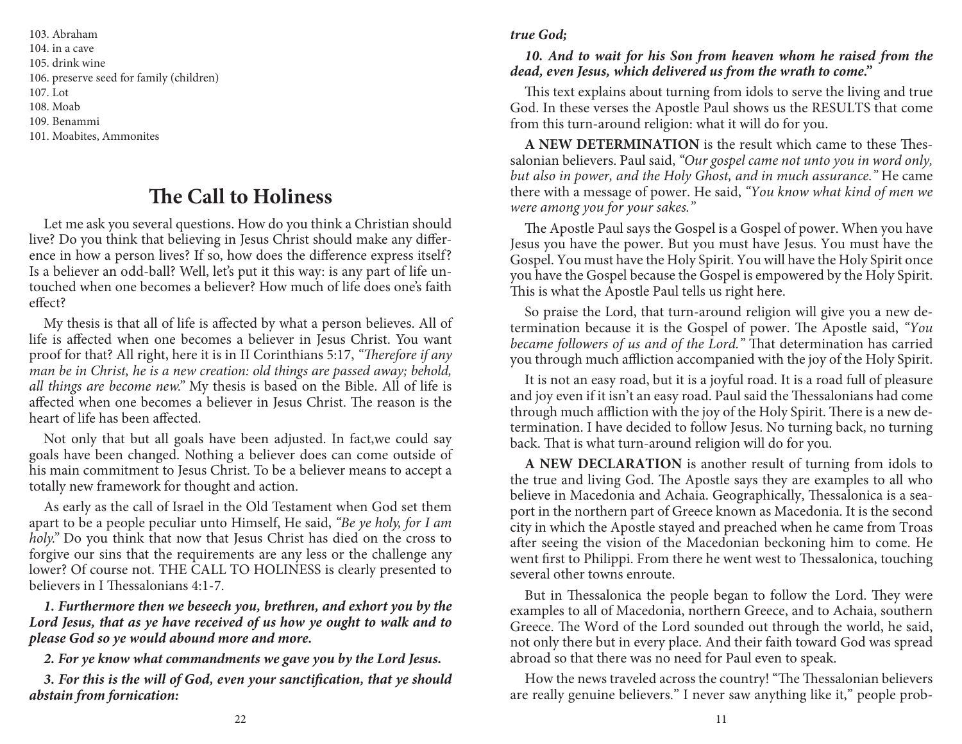103. Abraham 104. in a cave 105. drink wine 106. preserve seed for family (children)107. Lot108. Moab 109. Benammi101. Moabites, Ammonites

Let me ask you several questions. How do you think a Christian should live? Do you think that believing in Jesus Christ should make any difference in how a person lives? If so, how does the difference express itself? Is a believer an odd-ball? Well, let's put it this way: is any part of life untouched when one becomes a believer? How much of life does one's faith<br>effect?

My thesis is that all of life is affected by what a person believes. All of<br>life is affected when one becomes a believer in Jesus Christ. You want<br>proof for that? All right, here it is in II Corinthians 5:17, *"Therefore i* **The Call to Holiness**<br>
reral questions. How do you thin<br>
nat believing in Jesus Christ sho<br>
n lives? If so, how does the difficall? Well, let's put it this way:<br>
recomes a believer? How much c<br>
ll of life is affected by w

Not only that but all goals have been adjusted. In fact,we could say goals have been changed. Nothing a believer does can come outside of his main commitment to Jesus Christ. To be a believer means to accept a totally new

As early as the call of Israel in the Old Testament when God set them<br>apart to be a people peculiar unto Himself, He said, "*Be ye holy, for I am*<br>*holy.*" Do you think that now that Jesus Christ has died on the cross to<br>f

**1. Furthermore then we beseech you, brethren, and exhort you by the Lord Jesus, that as ye have received of us how ye ought to walk and to please God so ye would abound more and more.**

**2. For ye know what commandments we gave you by the Lord Jesus.**

**3. For this is the will of God, even your sanctification, that ye should abstain from fornication:** 

#### **true God;**

#### **10. And to wait for his Son from heaven whom he raised from the dead, even Jesus, which delivered us from the wrath to come."**

This text explains about turning from idols to serve the living and true God. In these verses the Apostle Paul shows us the RESULTS that come from this turn-around religion: what it will do for you.

**A NEW DETERMINATION** is the result which came to these Thessalonian believers. Paul said, "Our gospel came not unto you in word only, but also in power, and the Holy Ghost, and in much assurance." He came there with a message of power. He said, "You know what kind of men we were among you for your sakes."

The Apostle Paul says the Gospel is a Gospel of power. When you have Jesus you have the power. But you must have Jesus. You must have the Gospel. You must have the Holy Spirit. You will have the Holy Spirit once you have the Gospel because the Gospel is empowered by the Holy Spirit. This is what the Apostle Paul tells us right here.

So praise the Lord, that turn-around religion will give you a new determination because it is the Gospel of power. The Apostle said, "You became followers of us and of the Lord." That determination has carried you through much affliction accompanied with the joy of the Holy Spirit.

It is not an easy road, but it is a joyful road. It is a road full of pleasure and joy even if it isn't an easy road. Paul said the Thessalonians had come through much affliction with the joy of the Holy Spirit. There is a new determination. I have decided to follow Jesus. No turning back, no turning back. That is what turn-around religion will do for you.

**A NEW DECLARATION** is another result of turning from idols to the true and living God. The Apostle says they are examples to all who believe in Macedonia and Achaia. Geographically, Thessalonica is a seaport in the northern part of Greece known as Macedonia. It is the second city in which the Apostle stayed and preached when he came from Troas after seeing the vision of the Macedonian beckoning him to come. He went first to Philippi. From there he went west to Thessalonica, touching several other towns enroute.

But in Thessalonica the people began to follow the Lord. They were examples to all of Macedonia, northern Greece, and to Achaia, southern Greece. The Word of the Lord sounded out through the world, he said, not only there but in every place. And their faith toward God was spread abroad so that there was no need for Paul even to speak.

How the news traveled across the country! "The Thessalonian believers are really genuine believers." I never saw anything like it," people prob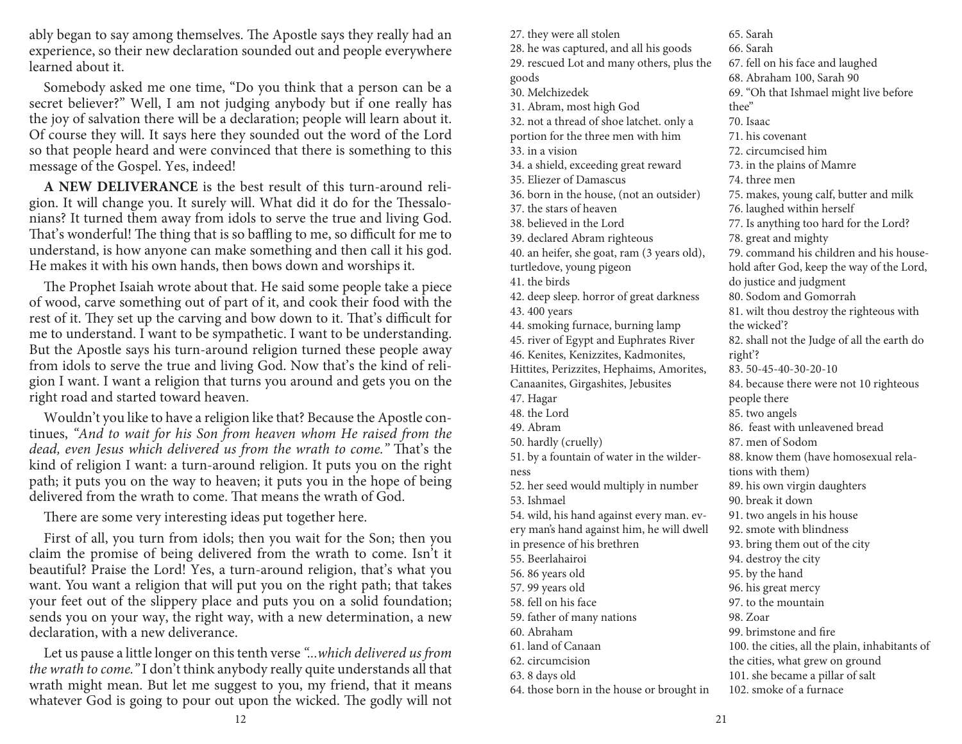ably began to say among themselves. The Apostle says they really had an experience, so their new declaration sounded out and people everywhere learned about it.

Somebody asked me one time, "Do you think that a person can be a secret believer?" Well, I am not judging anybody but if one really has the joy of salvation there will be a declaration; people will learn about it. Of course they will. It says here they sounded out the word of the Lord so that people heard and were convinced that there is something to this message of the Gospel. Yes, indeed!

**A NEW DELIVERANCE** is the best result of this turn-around religion. It will change you. It surely will. What did it do for the Thessalonians? It turned them away from idols to serve the true and living God. That's wonderful! The thing that is so baffling to me, so difficult for me to understand, is how anyone can make something and then call it his god. He makes it with his own hands, then bows down and worships it.

The Prophet Isaiah wrote about that. He said some people take a piece of wood, carve something out of part of it, and cook their food with the rest of it. They set up the carving and bow down to it. That's difficult for me to understand. I want to be sympathetic. I want to be understanding. But the Apostle says his turn-around religion turned these people away from idols to serve the true and living God. Now that's the kind of religion I want. I want a religion that turns you around and gets you on the right road and started toward heaven.

Wouldn't you like to have a religion like that? Because the Apostle continues, "And to wait for his Son from heaven whom He raised from the dead, even Jesus which delivered us from the wrath to come." That's the kind of religion I want: a turn-around religion. It puts you on the right path; it puts you on the way to heaven; it puts you in the hope of being delivered from the wrath to come. That means the wrath of  $God$ .

There are some very interesting ideas put together here.

First of all, you turn from idols; then you wait for the Son; then you claim the promise of being delivered from the wrath to come. Isn't it beautiful? Praise the Lord! Yes, a turn-around religion, that's what you want. You want a religion that will put you on the right path; that takes your feet out of the slippery place and puts you on a solid foundation; sends you on your way, the right way, with a new determination, a new declaration, with a new deliverance.

Let us pause a little longer on this tenth verse "...which delivered us from the wrath to come." I don't think anybody really quite understands all that wrath might mean. But let me suggest to you, my friend, that it means whatever God is going to pour out upon the wicked. The godly will not

27. they were all stolen 28. he was captured, and all his goods 29. rescued Lot and many others, plus the goods 30. Melchizedek 31. Abram, most high God 32. not a thread of shoe latchet. only a portion for the three men with him33. in a vision 34. a shield, exceeding great reward35. Eliezer of Damascus 36. born in the house, (not an outsider)37. the stars of heaven 38. believed in the Lord 39. declared Abram righteous 40. an heifer, she goat, ram (3 years old), turtledove, young pigeon41. the birds 42. deep sleep. horror of great darkness43. 400 years 44. smoking furnace, burning lamp 45. river of Egypt and Euphrates River46. Kenites, Kenizzites, Kadmonites, Hittites, Perizzites, Hephaims, Amorites, Canaanites, Girgashites, Jebusites47. Hagar 48. the Lord49. Abram 50. hardly (cruelly) 51. by a fountain of water in the wilderness 52. her seed would multiply in number53. Ishmael54. wild, his hand against every man. every man's hand against him, he will dwell in presence of his brethren55. Beerlahairoi56. 86 years old 57. 99 years old 58. fell on his face 59. father of many nations60. Abraham 61. land of Canaan62. circumcision63. 8 days old 64. those born in the house or brought in65. Sarah 66. Sarah 67. fell on his face and laughed68. Abraham 100, Sarah 90 69. "Oh that Ishmael might live before thee" 70. Isaac 71. his covenant72. circumcised him 73. in the plains of Mamre74. three men 75. makes, young calf, butter and milk76. laughed within herself 77. Is anything too hard for the Lord?78. great and mighty 79. command his children and his household after God, keep the way of the Lord, do justice and judgment80. Sodom and Gomorrah 81. wilt thou destroy the righteous with the wicked'? 82. shall not the Judge of all the earth do right'? 83. 50-45-40-30-20-10 84. because there were not 10 righteous people there 85. two angels 86. feast with unleavened bread87. men of Sodom 88. know them (have homosexual relations with them) 89. his own virgin daughters90. break it down 91. two angels in his house92. smote with blindness 93. bring them out of the city94. destroy the city95. by the hand 96. his great mercy 97. to the mountain98. Zoar99. brimstone and fire 100. the cities, all the plain, inhabitants of the cities, what grew on ground 101. she became a pillar of salt102. smoke of a furnace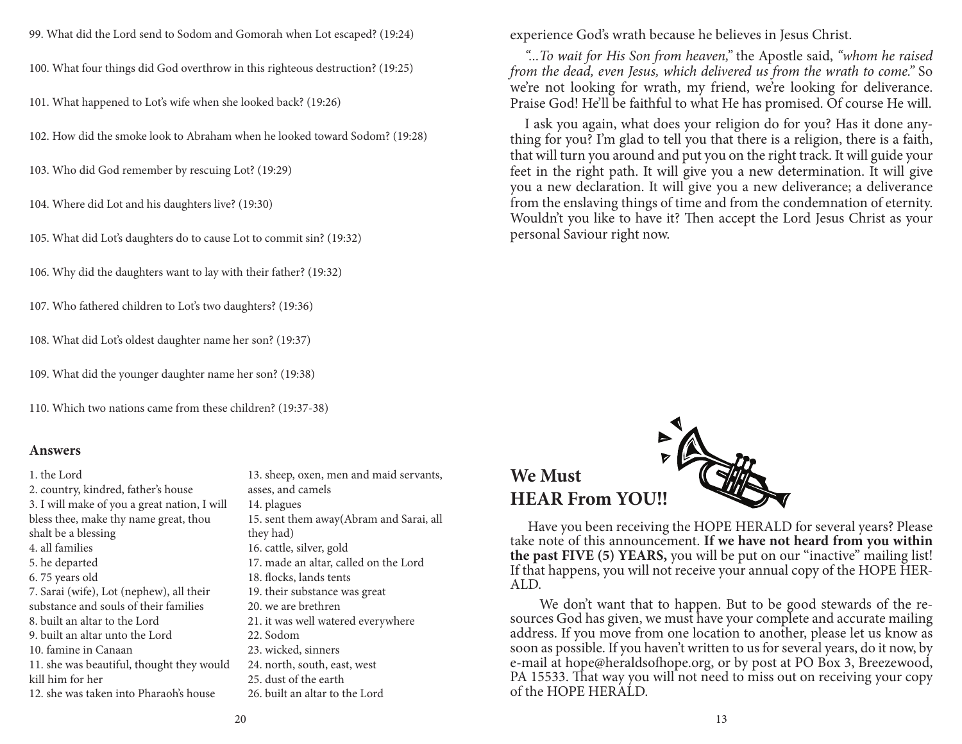99. What did the Lord send to Sodom and Gomorah when Lot escaped? (19:24)

100. What four things did God overthrow in this righteous destruction? (19:25)

101. What happened to Lot's wife when she looked back? (19:26)

102. How did the smoke look to Abraham when he looked toward Sodom? (19:28)

103. Who did God remember by rescuing Lot? (19:29)

104. Where did Lot and his daughters live? (19:30)

105. What did Lot's daughters do to cause Lot to commit sin? (19:32)

106. Why did the daughters want to lay with their father? (19:32)

107. Who fathered children to Lot's two daughters? (19:36)

108. What did Lot's oldest daughter name her son? (19:37)

109. What did the younger daughter name her son? (19:38)

110. Which two nations came from these children? (19:37-38)

#### **Answers**

1. the Lord 2. country, kindred, father's house 3. I will make of you a great nation, I will bless thee, make thy name great, thou shalt be a blessing4. all families 5. he departed 6. 75 years old 7. Sarai (wife), Lot (nephew), all their substance and souls of their families8. built an altar to the Lord 9. built an altar unto the Lord10. famine in Canaan 11. she was beautiful, thought they would kill him for her12. she was taken into Pharaoh's house

13. sheep, oxen, men and maid servants, asses, and camels14. plagues 15. sent them away(Abram and Sarai, all they had) 16. cattle, silver, gold 17. made an altar, called on the Lord18. flocks, lands tents 19. their substance was great20. we are brethren 21. it was well watered everywhere22. Sodom 23. wicked, sinners 24. north, south, east, west25. dust of the earth26. built an altar to the Lord

experience God's wrath because he believes in Jesus Christ.

"...To wait for His Son from heaven," the Apostle said, "whom he raised from the dead, even Jesus, which delivered us from the wrath to come." So we're not looking for wrath, my friend, we're looking for deliverance. Praise God! He'll be faithful to what He has promised. Of course He will.

I ask you again, what does your religion do for you? Has it done anything for you? I'm glad to tell you that there is a religion, there is a faith, that will turn you around and put you on the right track. It will guide your feet in the right path. It will give you a new determination. It will give you a new declaration. It will give you a new deliverance; a deliverance from the enslaving things of time and from the condemnation of eternity. Wouldn't you like to have it? Then accept the Lord Jesus Christ as your personal Saviour right now.



 Have you been receiving the HOPE HERALD for several years? Please take note of this announcement. **If we have not heard from you within the past FIVE (5) YEARS,** you will be put on our "inactive" mailing list! If that happens, you will not receive your annual copy of the HOPE HER-ALD.

 We don't want that to happen. But to be good stewards of the resources God has given, we must have your complete and accurate mailing address. If you move from one location to another, please let us know as soon as possible. If you haven't written to us for several years, do it now, by e-mail at hope@heraldsofhope.org, or by post at PO Box 3, Breezewood, PA 15533. That way you will not need to miss out on receiving your copy of the HOPE HERALD.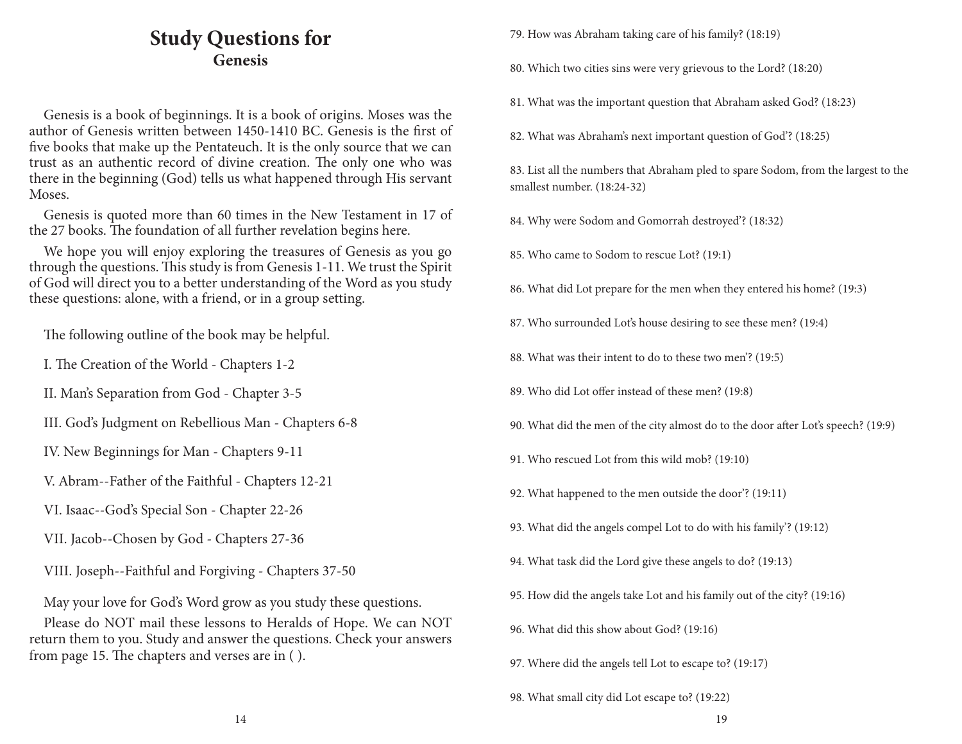# **Study Questions forGenesis**

Genesis is a book of beginnings. It is a book of origins. Moses was the author of Genesis written between 1450-1410 BC. Genesis is the first of five books that make up the Pentateuch. It is the only source that we can trust as an authentic record of divine creation. The only one who was there in the beginning (God) tells us what happened through His servant Moses.

Genesis is quoted more than 60 times in the New Testament in 17 of the 27 books. The foundation of all further revelation begins here.

We hope you will enjoy exploring the treasures of Genesis as you go through the questions. This study is from Genesis 1-11. We trust the Spirit of God will direct you to a better understanding of the Word as you study these questions: alone, with a friend, or in a group setting.

The following outline of the book may be helpful.

I. The Creation of the World - Chapters 1-2

II. Man's Separation from God - Chapter 3-5

III. God's Judgment on Rebellious Man - Chapters 6-8

IV. New Beginnings for Man - Chapters 9-11

V. Abram--Father of the Faithful - Chapters 12-21

VI. Isaac--God's Special Son - Chapter 22-26

VII. Jacob--Chosen by God - Chapters 27-36

VIII. Joseph--Faithful and Forgiving - Chapters 37-50

May your love for God's Word grow as you study these questions.

Please do NOT mail these lessons to Heralds of Hope. We can NOT return them to you. Study and answer the questions. Check your answers from page 15. The chapters and verses are in  $($   $).$ 

79. How was Abraham taking care of his family? (18:19)

80. Which two cities sins were very grievous to the Lord? (18:20)

81. What was the important question that Abraham asked God? (18:23)

82. What was Abraham's next important question of God'? (18:25)

83. List all the numbers that Abraham pled to spare Sodom, from the largest to the smallest number. (18:24-32)

- 84. Why were Sodom and Gomorrah destroyed'? (18:32)
- 85. Who came to Sodom to rescue Lot? (19:1)
- 86. What did Lot prepare for the men when they entered his home? (19:3)
- 87. Who surrounded Lot's house desiring to see these men? (19:4)
- 88. What was their intent to do to these two men'? (19:5)
- 89. Who did Lot offer instead of these men? (19:8)
- 90. What did the men of the city almost do to the door after Lot's speech? (19:9)
- 91. Who rescued Lot from this wild mob? (19:10)
- 92. What happened to the men outside the door'? (19:11)
- 93. What did the angels compel Lot to do with his family'? (19:12)
- 94. What task did the Lord give these angels to do? (19:13)
- 95. How did the angels take Lot and his family out of the city? (19:16)
- 96. What did this show about God? (19:16)
- 97. Where did the angels tell Lot to escape to? (19:17)

98. What small city did Lot escape to? (19:22)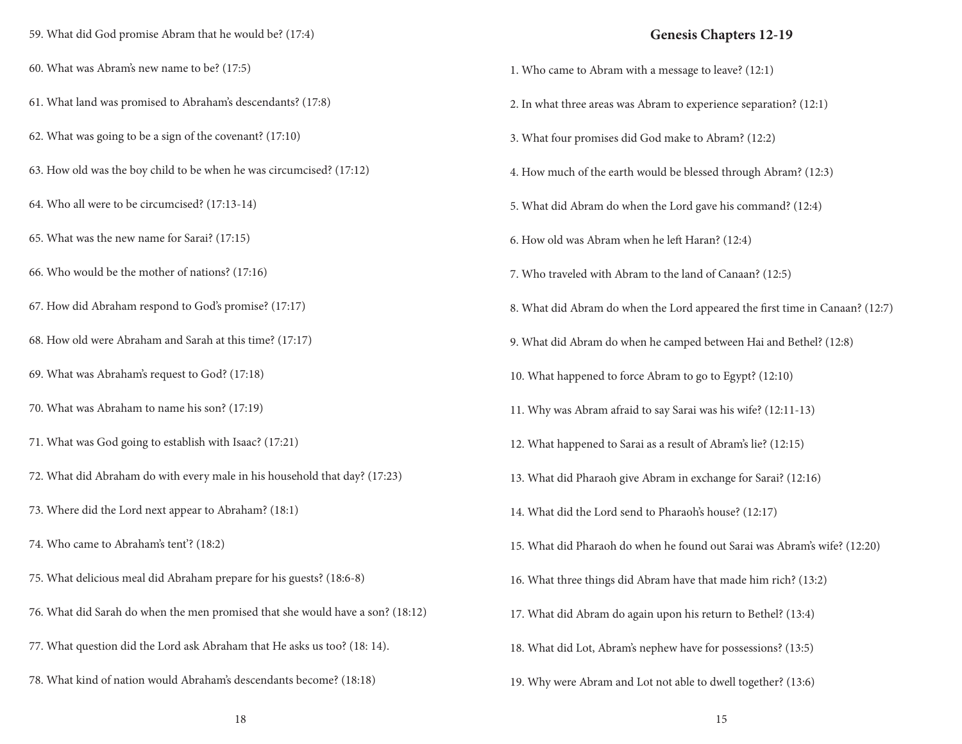59. What did God promise Abram that he would be? (17:4)60. What was Abram's new name to be? (17:5)61. What land was promised to Abraham's descendants? (17:8)62. What was going to be a sign of the covenant? (17:10)63. How old was the boy child to be when he was circumcised? (17:12)64. Who all were to be circumcised? (17:13-14)65. What was the new name for Sarai? (17:15)66. Who would be the mother of nations? (17:16)67. How did Abraham respond to God's promise? (17:17)68. How old were Abraham and Sarah at this time? (17:17)69. What was Abraham's request to God? (17:18)70. What was Abraham to name his son? (17:19)71. What was God going to establish with Isaac? (17:21)72. What did Abraham do with every male in his household that day? (17:23)73. Where did the Lord next appear to Abraham? (18:1)74. Who came to Abraham's tent'? (18:2)75. What delicious meal did Abraham prepare for his guests? (18:6-8)76. What did Sarah do when the men promised that she would have a son? (18:12)77. What question did the Lord ask Abraham that He asks us too? (18: 14). 78. What kind of nation would Abraham's descendants become? (18:18)

#### **Genesis Chapters 12-19**

| 1. Who came to Abram with a message to leave? (12:1)                         |
|------------------------------------------------------------------------------|
| 2. In what three areas was Abram to experience separation? (12:1)            |
| 3. What four promises did God make to Abram? (12:2)                          |
| 4. How much of the earth would be blessed through Abram? (12:3)              |
| 5. What did Abram do when the Lord gave his command? (12:4)                  |
| 6. How old was Abram when he left Haran? (12:4)                              |
| 7. Who traveled with Abram to the land of Canaan? (12:5)                     |
| 8. What did Abram do when the Lord appeared the first time in Canaan? (12:7) |
| 9. What did Abram do when he camped between Hai and Bethel? (12:8)           |
| 10. What happened to force Abram to go to Egypt? (12:10)                     |
| 11. Why was Abram afraid to say Sarai was his wife? (12:11-13)               |
| 12. What happened to Sarai as a result of Abram's lie? (12:15)               |
| 13. What did Pharaoh give Abram in exchange for Sarai? (12:16)               |
| 14. What did the Lord send to Pharaoh's house? (12:17)                       |
| 15. What did Pharaoh do when he found out Sarai was Abram's wife? (12:20)    |
| 16. What three things did Abram have that made him rich? (13:2)              |
| 17. What did Abram do again upon his return to Bethel? (13:4)                |
| 18. What did Lot, Abram's nephew have for possessions? (13:5)                |
| 19. Why were Abram and Lot not able to dwell together? (13:6)                |

18